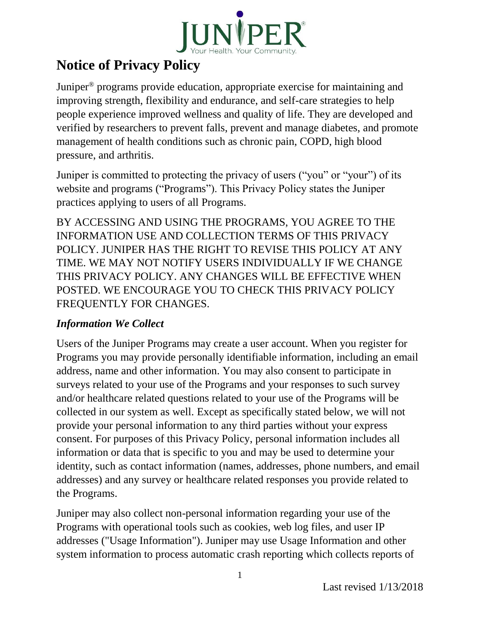

# **Notice of Privacy Policy**

Juniper® programs provide education, appropriate exercise for maintaining and improving strength, flexibility and endurance, and self-care strategies to help people experience improved wellness and quality of life. They are developed and verified by researchers to prevent falls, prevent and manage diabetes, and promote management of health conditions such as chronic pain, COPD, high blood pressure, and arthritis.

Juniper is committed to protecting the privacy of users ("you" or "your") of its website and programs ("Programs"). This Privacy Policy states the Juniper practices applying to users of all Programs.

BY ACCESSING AND USING THE PROGRAMS, YOU AGREE TO THE INFORMATION USE AND COLLECTION TERMS OF THIS PRIVACY POLICY. JUNIPER HAS THE RIGHT TO REVISE THIS POLICY AT ANY TIME. WE MAY NOT NOTIFY USERS INDIVIDUALLY IF WE CHANGE THIS PRIVACY POLICY. ANY CHANGES WILL BE EFFECTIVE WHEN POSTED. WE ENCOURAGE YOU TO CHECK THIS PRIVACY POLICY FREQUENTLY FOR CHANGES.

# *Information We Collect*

Users of the Juniper Programs may create a user account. When you register for Programs you may provide personally identifiable information, including an email address, name and other information. You may also consent to participate in surveys related to your use of the Programs and your responses to such survey and/or healthcare related questions related to your use of the Programs will be collected in our system as well. Except as specifically stated below, we will not provide your personal information to any third parties without your express consent. For purposes of this Privacy Policy, personal information includes all information or data that is specific to you and may be used to determine your identity, such as contact information (names, addresses, phone numbers, and email addresses) and any survey or healthcare related responses you provide related to the Programs.

Juniper may also collect non-personal information regarding your use of the Programs with operational tools such as cookies, web log files, and user IP addresses ("Usage Information"). Juniper may use Usage Information and other system information to process automatic crash reporting which collects reports of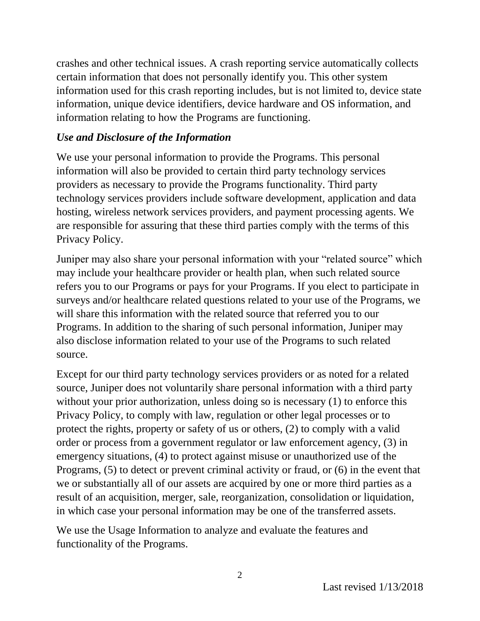crashes and other technical issues. A crash reporting service automatically collects certain information that does not personally identify you. This other system information used for this crash reporting includes, but is not limited to, device state information, unique device identifiers, device hardware and OS information, and information relating to how the Programs are functioning.

### *Use and Disclosure of the Information*

We use your personal information to provide the Programs. This personal information will also be provided to certain third party technology services providers as necessary to provide the Programs functionality. Third party technology services providers include software development, application and data hosting, wireless network services providers, and payment processing agents. We are responsible for assuring that these third parties comply with the terms of this Privacy Policy.

Juniper may also share your personal information with your "related source" which may include your healthcare provider or health plan, when such related source refers you to our Programs or pays for your Programs. If you elect to participate in surveys and/or healthcare related questions related to your use of the Programs, we will share this information with the related source that referred you to our Programs. In addition to the sharing of such personal information, Juniper may also disclose information related to your use of the Programs to such related source.

Except for our third party technology services providers or as noted for a related source, Juniper does not voluntarily share personal information with a third party without your prior authorization, unless doing so is necessary (1) to enforce this Privacy Policy, to comply with law, regulation or other legal processes or to protect the rights, property or safety of us or others, (2) to comply with a valid order or process from a government regulator or law enforcement agency, (3) in emergency situations, (4) to protect against misuse or unauthorized use of the Programs, (5) to detect or prevent criminal activity or fraud, or (6) in the event that we or substantially all of our assets are acquired by one or more third parties as a result of an acquisition, merger, sale, reorganization, consolidation or liquidation, in which case your personal information may be one of the transferred assets.

We use the Usage Information to analyze and evaluate the features and functionality of the Programs.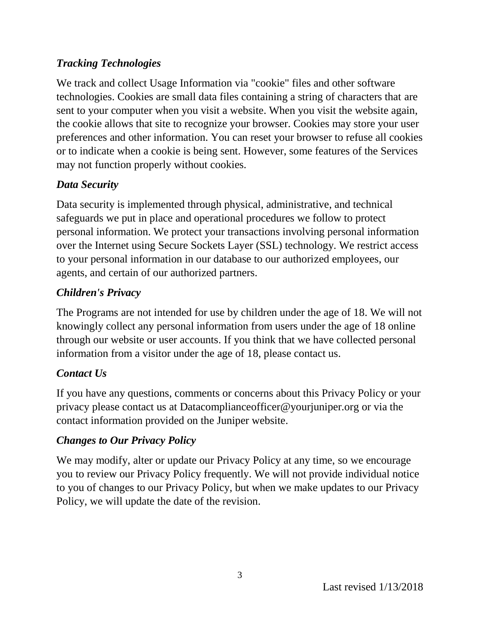### *Tracking Technologies*

We track and collect Usage Information via "cookie" files and other software technologies. Cookies are small data files containing a string of characters that are sent to your computer when you visit a website. When you visit the website again, the cookie allows that site to recognize your browser. Cookies may store your user preferences and other information. You can reset your browser to refuse all cookies or to indicate when a cookie is being sent. However, some features of the Services may not function properly without cookies.

# *Data Security*

Data security is implemented through physical, administrative, and technical safeguards we put in place and operational procedures we follow to protect personal information. We protect your transactions involving personal information over the Internet using Secure Sockets Layer (SSL) technology. We restrict access to your personal information in our database to our authorized employees, our agents, and certain of our authorized partners.

# *Children's Privacy*

The Programs are not intended for use by children under the age of 18. We will not knowingly collect any personal information from users under the age of 18 online through our website or user accounts. If you think that we have collected personal information from a visitor under the age of 18, please contact us.

# *Contact Us*

If you have any questions, comments or concerns about this Privacy Policy or your privacy please contact us at Datacomplianceofficer@yourjuniper.org or via the contact information provided on the Juniper website.

# *Changes to Our Privacy Policy*

We may modify, alter or update our Privacy Policy at any time, so we encourage you to review our Privacy Policy frequently. We will not provide individual notice to you of changes to our Privacy Policy, but when we make updates to our Privacy Policy, we will update the date of the revision.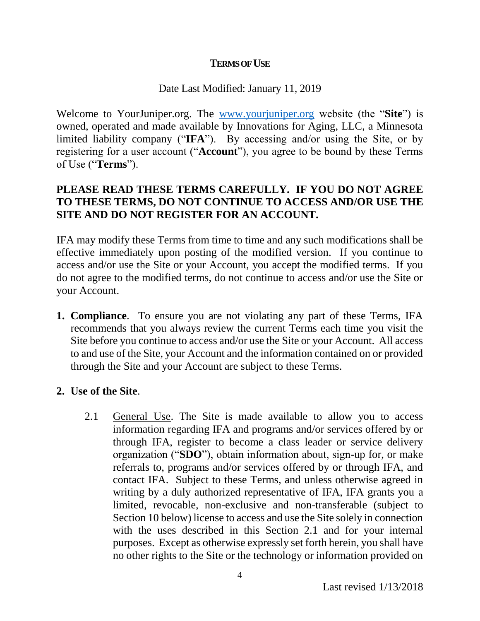#### **TERMS OF USE**

#### Date Last Modified: January 11, 2019

Welcome to YourJuniper.org. The www.yourjuniper.org website (the "**Site**") is owned, operated and made available by Innovations for Aging, LLC, a Minnesota limited liability company ("**IFA**"). By accessing and/or using the Site, or by registering for a user account ("**Account**"), you agree to be bound by these Terms of Use ("**Terms**").

#### **PLEASE READ THESE TERMS CAREFULLY. IF YOU DO NOT AGREE TO THESE TERMS, DO NOT CONTINUE TO ACCESS AND/OR USE THE SITE AND DO NOT REGISTER FOR AN ACCOUNT.**

IFA may modify these Terms from time to time and any such modifications shall be effective immediately upon posting of the modified version. If you continue to access and/or use the Site or your Account, you accept the modified terms. If you do not agree to the modified terms, do not continue to access and/or use the Site or your Account.

**1. Compliance**. To ensure you are not violating any part of these Terms, IFA recommends that you always review the current Terms each time you visit the Site before you continue to access and/or use the Site or your Account. All access to and use of the Site, your Account and the information contained on or provided through the Site and your Account are subject to these Terms.

#### **2. Use of the Site**.

2.1 General Use. The Site is made available to allow you to access information regarding IFA and programs and/or services offered by or through IFA, register to become a class leader or service delivery organization ("**SDO**"), obtain information about, sign-up for, or make referrals to, programs and/or services offered by or through IFA, and contact IFA. Subject to these Terms, and unless otherwise agreed in writing by a duly authorized representative of IFA, IFA grants you a limited, revocable, non-exclusive and non-transferable (subject to Section 10 below) license to access and use the Site solely in connection with the uses described in this Section 2.1 and for your internal purposes. Except as otherwise expressly set forth herein, you shall have no other rights to the Site or the technology or information provided on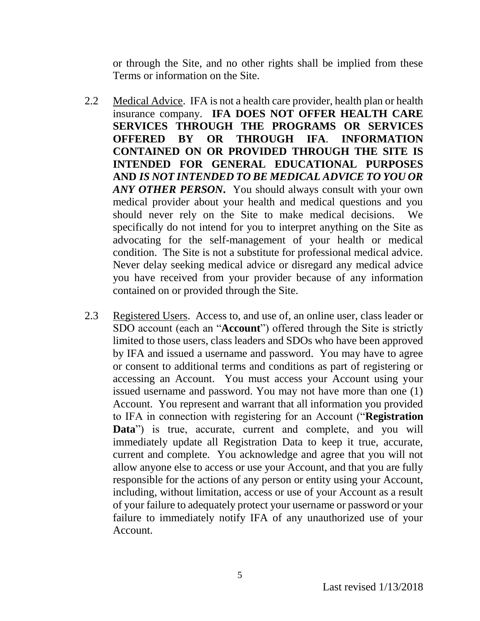or through the Site, and no other rights shall be implied from these Terms or information on the Site.

- 2.2 Medical Advice. IFA is not a health care provider, health plan or health insurance company. **IFA DOES NOT OFFER HEALTH CARE SERVICES THROUGH THE PROGRAMS OR SERVICES OFFERED BY OR THROUGH IFA**. **INFORMATION CONTAINED ON OR PROVIDED THROUGH THE SITE IS INTENDED FOR GENERAL EDUCATIONAL PURPOSES AND** *IS NOT INTENDED TO BE MEDICAL ADVICE TO YOU OR ANY OTHER PERSON***.** You should always consult with your own medical provider about your health and medical questions and you should never rely on the Site to make medical decisions. We specifically do not intend for you to interpret anything on the Site as advocating for the self-management of your health or medical condition. The Site is not a substitute for professional medical advice. Never delay seeking medical advice or disregard any medical advice you have received from your provider because of any information contained on or provided through the Site.
- 2.3 Registered Users. Access to, and use of, an online user, class leader or SDO account (each an "**Account**") offered through the Site is strictly limited to those users, class leaders and SDOs who have been approved by IFA and issued a username and password. You may have to agree or consent to additional terms and conditions as part of registering or accessing an Account. You must access your Account using your issued username and password. You may not have more than one (1) Account. You represent and warrant that all information you provided to IFA in connection with registering for an Account ("**Registration Data**") is true, accurate, current and complete, and you will immediately update all Registration Data to keep it true, accurate, current and complete. You acknowledge and agree that you will not allow anyone else to access or use your Account, and that you are fully responsible for the actions of any person or entity using your Account, including, without limitation, access or use of your Account as a result of your failure to adequately protect your username or password or your failure to immediately notify IFA of any unauthorized use of your Account.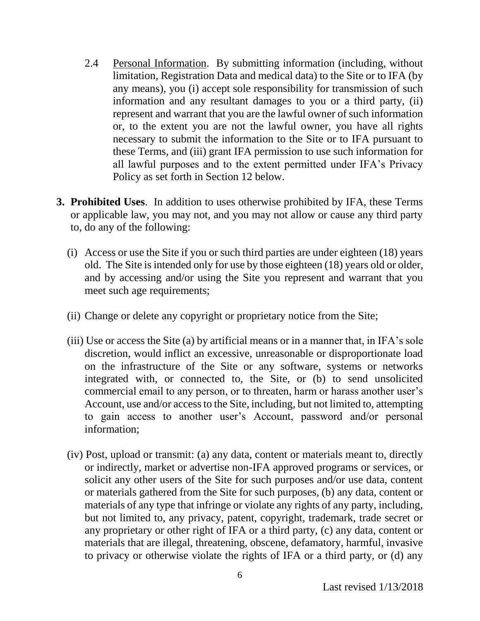- 2.4 Personal Information. By submitting information (including, without limitation, Registration Data and medical data) to the Site or to IFA (by any means), you (i) accept sole responsibility for transmission of such information and any resultant damages to you or a third party, (ii) represent and warrant that you are the lawful owner of such information or, to the extent you are not the lawful owner, you have all rights necessary to submit the information to the Site or to IFA pursuant to these Terms, and (iii) grant IFA permission to use such information for all lawful purposes and to the extent permitted under IFA's Privacy Policy as set forth in Section 12 below.
- **3. Prohibited Uses**. In addition to uses otherwise prohibited by IFA, these Terms or applicable law, you may not, and you may not allow or cause any third party to, do any of the following:
	- (i) Access or use the Site if you or such third parties are under eighteen (18) years old. The Site is intended only for use by those eighteen (18) years old or older, and by accessing and/or using the Site you represent and warrant that you meet such age requirements;
	- (ii) Change or delete any copyright or proprietary notice from the Site;
	- (iii) Use or access the Site (a) by artificial means or in a manner that, in IFA's sole discretion, would inflict an excessive, unreasonable or disproportionate load on the infrastructure of the Site or any software, systems or networks integrated with, or connected to, the Site, or (b) to send unsolicited commercial email to any person, or to threaten, harm or harass another user's Account, use and/or access to the Site, including, but not limited to, attempting to gain access to another user's Account, password and/or personal information;
	- (iv) Post, upload or transmit: (a) any data, content or materials meant to, directly or indirectly, market or advertise non-IFA approved programs or services, or solicit any other users of the Site for such purposes and/or use data, content or materials gathered from the Site for such purposes, (b) any data, content or materials of any type that infringe or violate any rights of any party, including, but not limited to, any privacy, patent, copyright, trademark, trade secret or any proprietary or other right of IFA or a third party, (c) any data, content or materials that are illegal, threatening, obscene, defamatory, harmful, invasive to privacy or otherwise violate the rights of IFA or a third party, or (d) any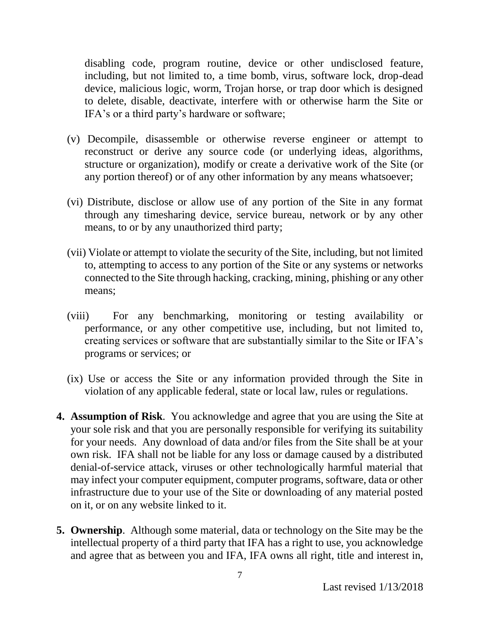disabling code, program routine, device or other undisclosed feature, including, but not limited to, a time bomb, virus, software lock, drop-dead device, malicious logic, worm, Trojan horse, or trap door which is designed to delete, disable, deactivate, interfere with or otherwise harm the Site or IFA's or a third party's hardware or software;

- (v) Decompile, disassemble or otherwise reverse engineer or attempt to reconstruct or derive any source code (or underlying ideas, algorithms, structure or organization), modify or create a derivative work of the Site (or any portion thereof) or of any other information by any means whatsoever;
- (vi) Distribute, disclose or allow use of any portion of the Site in any format through any timesharing device, service bureau, network or by any other means, to or by any unauthorized third party;
- (vii) Violate or attempt to violate the security of the Site, including, but not limited to, attempting to access to any portion of the Site or any systems or networks connected to the Site through hacking, cracking, mining, phishing or any other means;
- (viii) For any benchmarking, monitoring or testing availability or performance, or any other competitive use, including, but not limited to, creating services or software that are substantially similar to the Site or IFA's programs or services; or
- (ix) Use or access the Site or any information provided through the Site in violation of any applicable federal, state or local law, rules or regulations.
- **4. Assumption of Risk**. You acknowledge and agree that you are using the Site at your sole risk and that you are personally responsible for verifying its suitability for your needs. Any download of data and/or files from the Site shall be at your own risk. IFA shall not be liable for any loss or damage caused by a distributed denial-of-service attack, viruses or other technologically harmful material that may infect your computer equipment, computer programs, software, data or other infrastructure due to your use of the Site or downloading of any material posted on it, or on any website linked to it.
- **5. Ownership**. Although some material, data or technology on the Site may be the intellectual property of a third party that IFA has a right to use, you acknowledge and agree that as between you and IFA, IFA owns all right, title and interest in,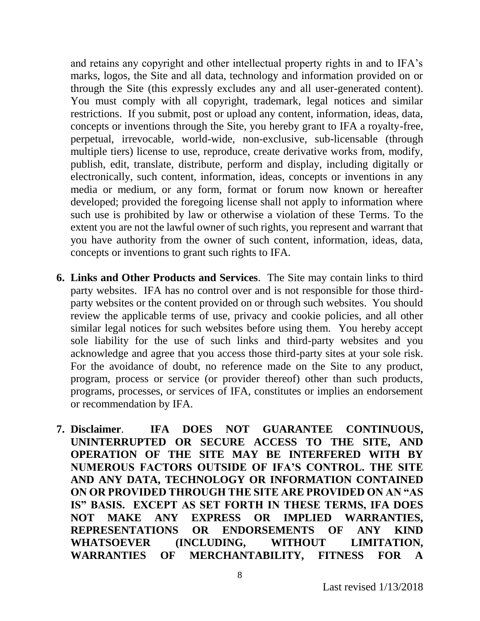and retains any copyright and other intellectual property rights in and to IFA's marks, logos, the Site and all data, technology and information provided on or through the Site (this expressly excludes any and all user-generated content). You must comply with all copyright, trademark, legal notices and similar restrictions. If you submit, post or upload any content, information, ideas, data, concepts or inventions through the Site, you hereby grant to IFA a royalty-free, perpetual, irrevocable, world-wide, non-exclusive, sub-licensable (through multiple tiers) license to use, reproduce, create derivative works from, modify, publish, edit, translate, distribute, perform and display, including digitally or electronically, such content, information, ideas, concepts or inventions in any media or medium, or any form, format or forum now known or hereafter developed; provided the foregoing license shall not apply to information where such use is prohibited by law or otherwise a violation of these Terms. To the extent you are not the lawful owner of such rights, you represent and warrant that you have authority from the owner of such content, information, ideas, data, concepts or inventions to grant such rights to IFA.

- **6. Links and Other Products and Services**. The Site may contain links to third party websites. IFA has no control over and is not responsible for those thirdparty websites or the content provided on or through such websites. You should review the applicable terms of use, privacy and cookie policies, and all other similar legal notices for such websites before using them. You hereby accept sole liability for the use of such links and third-party websites and you acknowledge and agree that you access those third-party sites at your sole risk. For the avoidance of doubt, no reference made on the Site to any product, program, process or service (or provider thereof) other than such products, programs, processes, or services of IFA, constitutes or implies an endorsement or recommendation by IFA.
- **7. Disclaimer**. **IFA DOES NOT GUARANTEE CONTINUOUS, UNINTERRUPTED OR SECURE ACCESS TO THE SITE, AND OPERATION OF THE SITE MAY BE INTERFERED WITH BY NUMEROUS FACTORS OUTSIDE OF IFA'S CONTROL. THE SITE AND ANY DATA, TECHNOLOGY OR INFORMATION CONTAINED ON OR PROVIDED THROUGH THE SITE ARE PROVIDED ON AN "AS IS" BASIS. EXCEPT AS SET FORTH IN THESE TERMS, IFA DOES NOT MAKE ANY EXPRESS OR IMPLIED WARRANTIES, REPRESENTATIONS OR ENDORSEMENTS OF ANY KIND WHATSOEVER (INCLUDING, WITHOUT LIMITATION, WARRANTIES OF MERCHANTABILITY, FITNESS FOR A**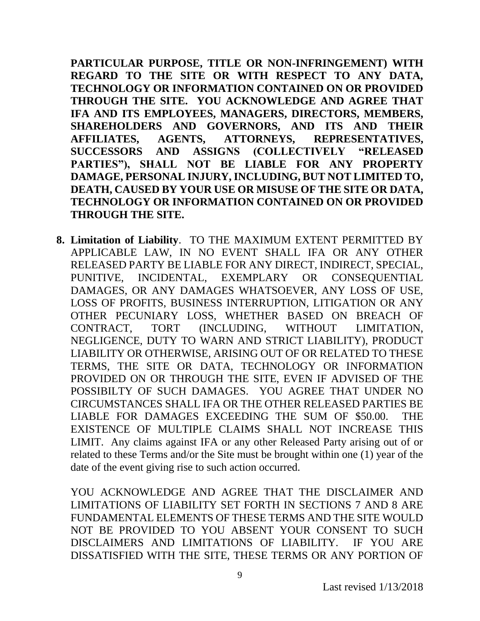**PARTICULAR PURPOSE, TITLE OR NON-INFRINGEMENT) WITH REGARD TO THE SITE OR WITH RESPECT TO ANY DATA, TECHNOLOGY OR INFORMATION CONTAINED ON OR PROVIDED THROUGH THE SITE. YOU ACKNOWLEDGE AND AGREE THAT IFA AND ITS EMPLOYEES, MANAGERS, DIRECTORS, MEMBERS, SHAREHOLDERS AND GOVERNORS, AND ITS AND THEIR AFFILIATES, AGENTS, ATTORNEYS, REPRESENTATIVES, SUCCESSORS AND ASSIGNS (COLLECTIVELY "RELEASED PARTIES"), SHALL NOT BE LIABLE FOR ANY PROPERTY DAMAGE, PERSONAL INJURY, INCLUDING, BUT NOT LIMITED TO, DEATH, CAUSED BY YOUR USE OR MISUSE OF THE SITE OR DATA, TECHNOLOGY OR INFORMATION CONTAINED ON OR PROVIDED THROUGH THE SITE.**

**8. Limitation of Liability**. TO THE MAXIMUM EXTENT PERMITTED BY APPLICABLE LAW, IN NO EVENT SHALL IFA OR ANY OTHER RELEASED PARTY BE LIABLE FOR ANY DIRECT, INDIRECT, SPECIAL, PUNITIVE, INCIDENTAL, EXEMPLARY OR CONSEQUENTIAL DAMAGES, OR ANY DAMAGES WHATSOEVER, ANY LOSS OF USE, LOSS OF PROFITS, BUSINESS INTERRUPTION, LITIGATION OR ANY OTHER PECUNIARY LOSS, WHETHER BASED ON BREACH OF CONTRACT, TORT (INCLUDING, WITHOUT LIMITATION, NEGLIGENCE, DUTY TO WARN AND STRICT LIABILITY), PRODUCT LIABILITY OR OTHERWISE, ARISING OUT OF OR RELATED TO THESE TERMS, THE SITE OR DATA, TECHNOLOGY OR INFORMATION PROVIDED ON OR THROUGH THE SITE, EVEN IF ADVISED OF THE POSSIBILTY OF SUCH DAMAGES. YOU AGREE THAT UNDER NO CIRCUMSTANCES SHALL IFA OR THE OTHER RELEASED PARTIES BE LIABLE FOR DAMAGES EXCEEDING THE SUM OF \$50.00. THE EXISTENCE OF MULTIPLE CLAIMS SHALL NOT INCREASE THIS LIMIT. Any claims against IFA or any other Released Party arising out of or related to these Terms and/or the Site must be brought within one (1) year of the date of the event giving rise to such action occurred.

YOU ACKNOWLEDGE AND AGREE THAT THE DISCLAIMER AND LIMITATIONS OF LIABILITY SET FORTH IN SECTIONS 7 AND 8 ARE FUNDAMENTAL ELEMENTS OF THESE TERMS AND THE SITE WOULD NOT BE PROVIDED TO YOU ABSENT YOUR CONSENT TO SUCH DISCLAIMERS AND LIMITATIONS OF LIABILITY. IF YOU ARE DISSATISFIED WITH THE SITE, THESE TERMS OR ANY PORTION OF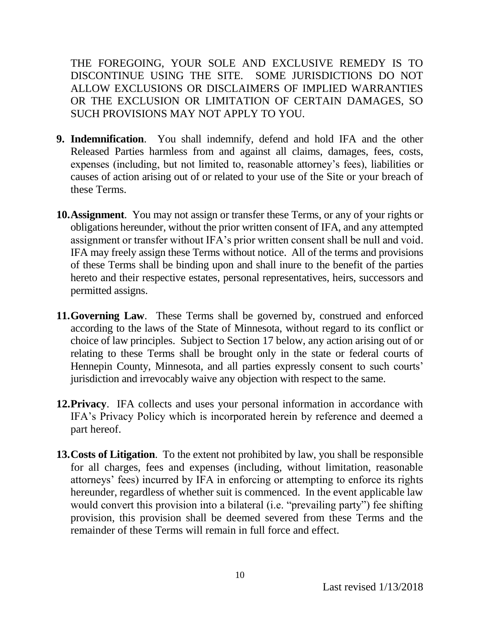THE FOREGOING, YOUR SOLE AND EXCLUSIVE REMEDY IS TO DISCONTINUE USING THE SITE. SOME JURISDICTIONS DO NOT ALLOW EXCLUSIONS OR DISCLAIMERS OF IMPLIED WARRANTIES OR THE EXCLUSION OR LIMITATION OF CERTAIN DAMAGES, SO SUCH PROVISIONS MAY NOT APPLY TO YOU.

- **9. Indemnification**. You shall indemnify, defend and hold IFA and the other Released Parties harmless from and against all claims, damages, fees, costs, expenses (including, but not limited to, reasonable attorney's fees), liabilities or causes of action arising out of or related to your use of the Site or your breach of these Terms.
- **10.Assignment**. You may not assign or transfer these Terms, or any of your rights or obligations hereunder, without the prior written consent of IFA, and any attempted assignment or transfer without IFA's prior written consent shall be null and void. IFA may freely assign these Terms without notice. All of the terms and provisions of these Terms shall be binding upon and shall inure to the benefit of the parties hereto and their respective estates, personal representatives, heirs, successors and permitted assigns.
- **11.Governing Law**. These Terms shall be governed by, construed and enforced according to the laws of the State of Minnesota, without regard to its conflict or choice of law principles. Subject to Section 17 below, any action arising out of or relating to these Terms shall be brought only in the state or federal courts of Hennepin County, Minnesota, and all parties expressly consent to such courts' jurisdiction and irrevocably waive any objection with respect to the same.
- **12. Privacy.** IFA collects and uses your personal information in accordance with IFA's Privacy Policy which is incorporated herein by reference and deemed a part hereof.
- **13.Costs of Litigation**. To the extent not prohibited by law, you shall be responsible for all charges, fees and expenses (including, without limitation, reasonable attorneys' fees) incurred by IFA in enforcing or attempting to enforce its rights hereunder, regardless of whether suit is commenced. In the event applicable law would convert this provision into a bilateral (i.e. "prevailing party") fee shifting provision, this provision shall be deemed severed from these Terms and the remainder of these Terms will remain in full force and effect.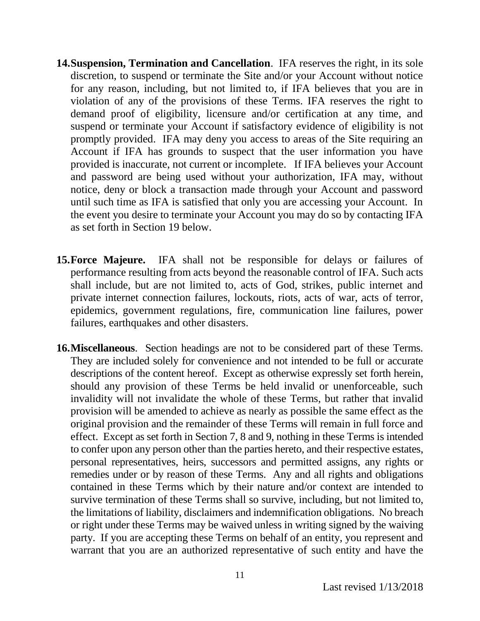- **14.Suspension, Termination and Cancellation**. IFA reserves the right, in its sole discretion, to suspend or terminate the Site and/or your Account without notice for any reason, including, but not limited to, if IFA believes that you are in violation of any of the provisions of these Terms. IFA reserves the right to demand proof of eligibility, licensure and/or certification at any time, and suspend or terminate your Account if satisfactory evidence of eligibility is not promptly provided. IFA may deny you access to areas of the Site requiring an Account if IFA has grounds to suspect that the user information you have provided is inaccurate, not current or incomplete. If IFA believes your Account and password are being used without your authorization, IFA may, without notice, deny or block a transaction made through your Account and password until such time as IFA is satisfied that only you are accessing your Account. In the event you desire to terminate your Account you may do so by contacting IFA as set forth in Section 19 below.
- **15.Force Majeure.** IFA shall not be responsible for delays or failures of performance resulting from acts beyond the reasonable control of IFA. Such acts shall include, but are not limited to, acts of God, strikes, public internet and private internet connection failures, lockouts, riots, acts of war, acts of terror, epidemics, government regulations, fire, communication line failures, power failures, earthquakes and other disasters.
- **16.Miscellaneous**. Section headings are not to be considered part of these Terms. They are included solely for convenience and not intended to be full or accurate descriptions of the content hereof. Except as otherwise expressly set forth herein, should any provision of these Terms be held invalid or unenforceable, such invalidity will not invalidate the whole of these Terms, but rather that invalid provision will be amended to achieve as nearly as possible the same effect as the original provision and the remainder of these Terms will remain in full force and effect. Except as set forth in Section 7, 8 and 9, nothing in these Terms is intended to confer upon any person other than the parties hereto, and their respective estates, personal representatives, heirs, successors and permitted assigns, any rights or remedies under or by reason of these Terms. Any and all rights and obligations contained in these Terms which by their nature and/or context are intended to survive termination of these Terms shall so survive, including, but not limited to, the limitations of liability, disclaimers and indemnification obligations. No breach or right under these Terms may be waived unless in writing signed by the waiving party. If you are accepting these Terms on behalf of an entity, you represent and warrant that you are an authorized representative of such entity and have the